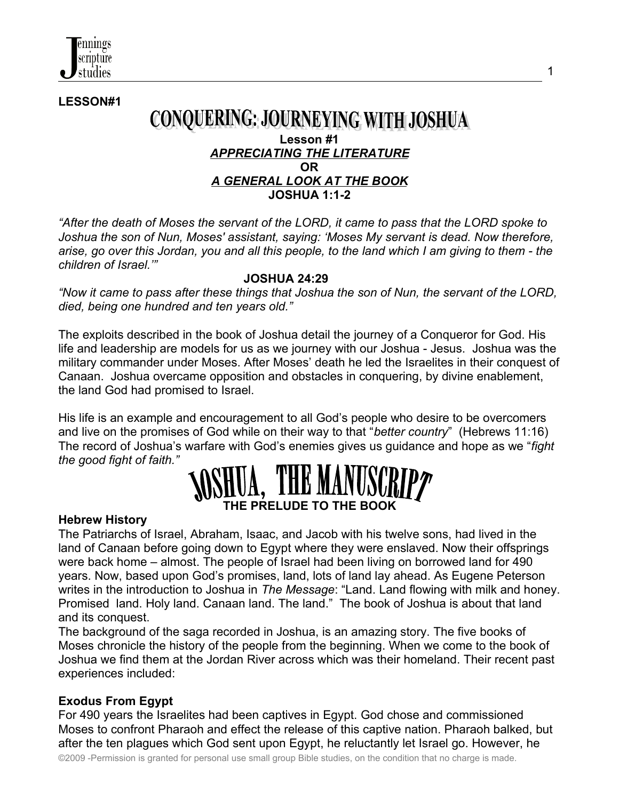**LESSON#1**

### **CONQUERING: JOURNEYING WITH JOSHUA**

#### **Lesson #1** *APPRECIATING THE LITERATURE* **OR** *A GENERAL LOOK AT THE BOOK* **JOSHUA 1:1-2**

*"After the death of Moses the servant of the LORD, it came to pass that the LORD spoke to Joshua the son of Nun, Moses' assistant, saying: 'Moses My servant is dead. Now therefore, arise, go over this Jordan, you and all this people, to the land which I am giving to them - the children of Israel.'"* 

#### **JOSHUA 24:29**

*"Now it came to pass after these things that Joshua the son of Nun, the servant of the LORD, died, being one hundred and ten years old."* 

The exploits described in the book of Joshua detail the journey of a Conqueror for God. His life and leadership are models for us as we journey with our Joshua - Jesus. Joshua was the military commander under Moses. After Moses' death he led the Israelites in their conquest of Canaan. Joshua overcame opposition and obstacles in conquering, by divine enablement, the land God had promised to Israel.

His life is an example and encouragement to all God's people who desire to be overcomers and live on the promises of God while on their way to that "*better country*" (Hebrews 11:16) The record of Joshua's warfare with God's enemies gives us guidance and hope as we "*fight the good fight of faith."*

# **IE PRELUDE TO THE BOOK**

#### **Hebrew History**

The Patriarchs of Israel, Abraham, Isaac, and Jacob with his twelve sons, had lived in the land of Canaan before going down to Egypt where they were enslaved. Now their offsprings were back home – almost. The people of Israel had been living on borrowed land for 490 years. Now, based upon God's promises, land, lots of land lay ahead. As Eugene Peterson writes in the introduction to Joshua in *The Message*: "Land. Land flowing with milk and honey. Promised land. Holy land. Canaan land. The land." The book of Joshua is about that land and its conquest.

The background of the saga recorded in Joshua, is an amazing story. The five books of Moses chronicle the history of the people from the beginning. When we come to the book of Joshua we find them at the Jordan River across which was their homeland. Their recent past experiences included:

#### **Exodus From Egypt**

For 490 years the Israelites had been captives in Egypt. God chose and commissioned Moses to confront Pharaoh and effect the release of this captive nation. Pharaoh balked, but after the ten plagues which God sent upon Egypt, he reluctantly let Israel go. However, he

©2009 -Permission is granted for personal use small group Bible studies, on the condition that no charge is made.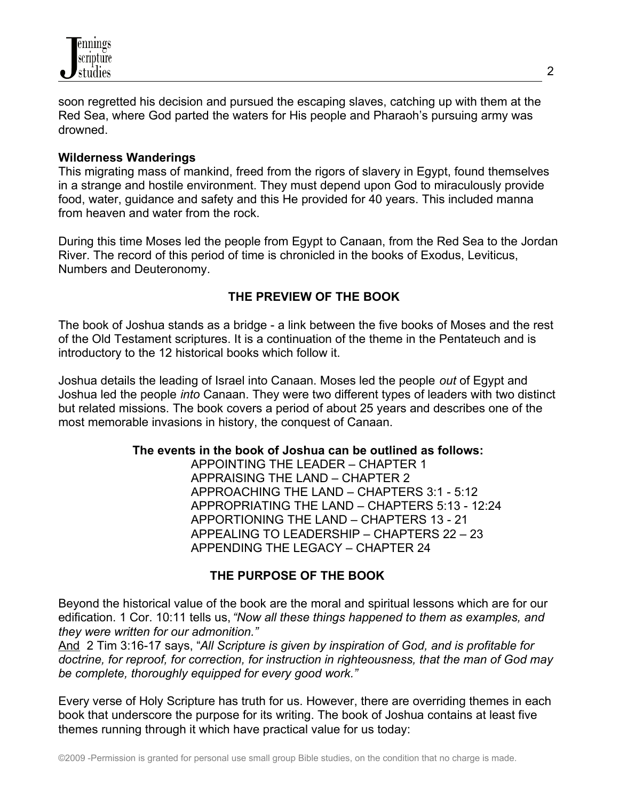

soon regretted his decision and pursued the escaping slaves, catching up with them at the Red Sea, where God parted the waters for His people and Pharaoh's pursuing army was drowned.

#### **Wilderness Wanderings**

This migrating mass of mankind, freed from the rigors of slavery in Egypt, found themselves in a strange and hostile environment. They must depend upon God to miraculously provide food, water, guidance and safety and this He provided for 40 years. This included manna from heaven and water from the rock.

During this time Moses led the people from Egypt to Canaan, from the Red Sea to the Jordan River. The record of this period of time is chronicled in the books of Exodus, Leviticus, Numbers and Deuteronomy.

#### **THE PREVIEW OF THE BOOK**

The book of Joshua stands as a bridge - a link between the five books of Moses and the rest of the Old Testament scriptures. It is a continuation of the theme in the Pentateuch and is introductory to the 12 historical books which follow it.

Joshua details the leading of Israel into Canaan. Moses led the people *out* of Egypt and Joshua led the people *into* Canaan. They were two different types of leaders with two distinct but related missions. The book covers a period of about 25 years and describes one of the most memorable invasions in history, the conquest of Canaan.

#### **The events in the book of Joshua can be outlined as follows:**

 APPOINTING THE LEADER – CHAPTER 1 APPRAISING THE LAND – CHAPTER 2 APPROACHING THE LAND – CHAPTERS 3:1 - 5:12 APPROPRIATING THE LAND – CHAPTERS 5:13 - 12:24 APPORTIONING THE LAND – CHAPTERS 13 - 21 APPEALING TO LEADERSHIP – CHAPTERS 22 – 23 APPENDING THE LEGACY – CHAPTER 24

#### **THE PURPOSE OF THE BOOK**

Beyond the historical value of the book are the moral and spiritual lessons which are for our edification. 1 Cor. 10:11 tells us, *"Now all these things happened to them as examples, and they were written for our admonition."*

And 2 Tim 3:16-17 says, "*All Scripture is given by inspiration of God, and is profitable for doctrine, for reproof, for correction, for instruction in righteousness, that the man of God may be complete, thoroughly equipped for every good work."*

Every verse of Holy Scripture has truth for us. However, there are overriding themes in each book that underscore the purpose for its writing. The book of Joshua contains at least five themes running through it which have practical value for us today: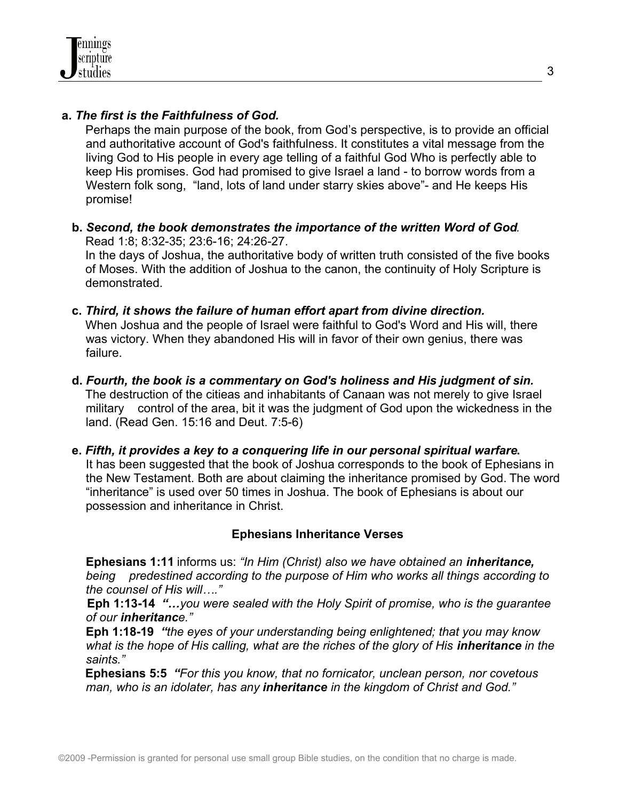#### **a.** *The first is the Faithfulness of God.*

 Perhaps the main purpose of the book, from God's perspective, is to provide an official and authoritative account of God's faithfulness. It constitutes a vital message from the living God to His people in every age telling of a faithful God Who is perfectly able to keep His promises. God had promised to give Israel a land - to borrow words from a Western folk song, "land, lots of land under starry skies above"- and He keeps His promise!

 **b.** *Second, the book demonstrates the importance of the written Word of God.* Read 1:8; 8:32-35; 23:6-16; 24:26-27.

 In the days of Joshua, the authoritative body of written truth consisted of the five books of Moses. With the addition of Joshua to the canon, the continuity of Holy Scripture is demonstrated.

- **c.** *Third, it shows the failure of human effort apart from divine direction.* When Joshua and the people of Israel were faithful to God's Word and His will, there was victory. When they abandoned His will in favor of their own genius, there was failure.
- **d.** *Fourth, the book is a commentary on God's holiness and His judgment of sin.* The destruction of the citieas and inhabitants of Canaan was not merely to give Israel military control of the area, bit it was the judgment of God upon the wickedness in the land. (Read Gen. 15:16 and Deut. 7:5-6)
- **e.** *Fifth, it provides a key to a conquering life in our personal spiritual warfare***.**  It has been suggested that the book of Joshua corresponds to the book of Ephesians in the New Testament. Both are about claiming the inheritance promised by God. The word "inheritance" is used over 50 times in Joshua. The book of Ephesians is about our possession and inheritance in Christ.

#### **Ephesians Inheritance Verses**

**Ephesians 1:11** informs us: *"In Him (Christ) also we have obtained an inheritance, being predestined according to the purpose of Him who works all things according to the counsel of His will…."*

 **Eph 1:13-14** *"…you were sealed with the Holy Spirit of promise, who is the guarantee of our inheritance."*

**Eph 1:18-19** *"the eyes of your understanding being enlightened; that you may know what is the hope of His calling, what are the riches of the glory of His inheritance in the saints."* 

 **Ephesians 5:5** *"For this you know, that no fornicator, unclean person, nor covetous man, who is an idolater, has any inheritance in the kingdom of Christ and God."*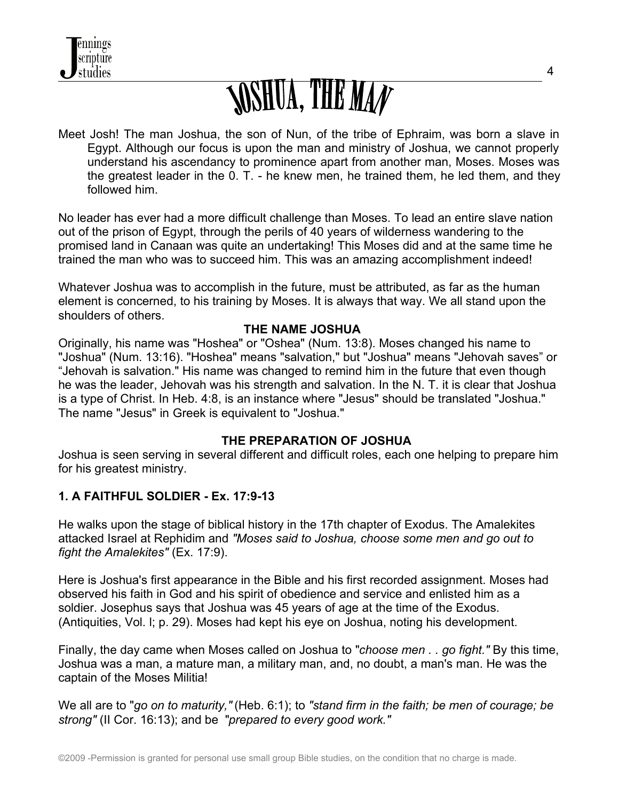

## *SOSHUA, THE MAN*

Meet Josh! The man Joshua, the son of Nun, of the tribe of Ephraim, was born a slave in Egypt. Although our focus is upon the man and ministry of Joshua, we cannot properly understand his ascendancy to prominence apart from another man, Moses. Moses was the greatest leader in the 0. T. - he knew men, he trained them, he led them, and they followed him.

No leader has ever had a more difficult challenge than Moses. To lead an entire slave nation out of the prison of Egypt, through the perils of 40 years of wilderness wandering to the promised land in Canaan was quite an undertaking! This Moses did and at the same time he trained the man who was to succeed him. This was an amazing accomplishment indeed!

Whatever Joshua was to accomplish in the future, must be attributed, as far as the human element is concerned, to his training by Moses. It is always that way. We all stand upon the shoulders of others.

#### **THE NAME JOSHUA**

Originally, his name was "Hoshea" or "Oshea" (Num. 13:8). Moses changed his name to "Joshua" (Num. 13:16). "Hoshea" means "salvation," but "Joshua" means "Jehovah saves" or "Jehovah is salvation." His name was changed to remind him in the future that even though he was the leader, Jehovah was his strength and salvation. In the N. T. it is clear that Joshua is a type of Christ. In Heb. 4:8, is an instance where "Jesus" should be translated "Joshua." The name "Jesus" in Greek is equivalent to "Joshua."

#### **THE PREPARATION OF JOSHUA**

Joshua is seen serving in several different and difficult roles, each one helping to prepare him for his greatest ministry.

#### **1. A FAITHFUL SOLDIER - Ex. 17:9-13**

He walks upon the stage of biblical history in the 17th chapter of Exodus. The Amalekites attacked Israel at Rephidim and *"Moses said to Joshua, choose some men and go out to fight the Amalekites"* (Ex. 17:9).

Here is Joshua's first appearance in the Bible and his first recorded assignment. Moses had observed his faith in God and his spirit of obedience and service and enlisted him as a soldier. Josephus says that Joshua was 45 years of age at the time of the Exodus. (Antiquities, Vol. l; p. 29). Moses had kept his eye on Joshua, noting his development.

Finally, the day came when Moses called on Joshua to "*choose men . . go fight."* By this time, Joshua was a man, a mature man, a military man, and, no doubt, a man's man. He was the captain of the Moses Militia!

We all are to "*go on to maturity,"* (Heb. 6:1); to *"stand firm in the faith; be men of courage; be strong"* (II Cor. 16:13); and be "*prepared to every good work."*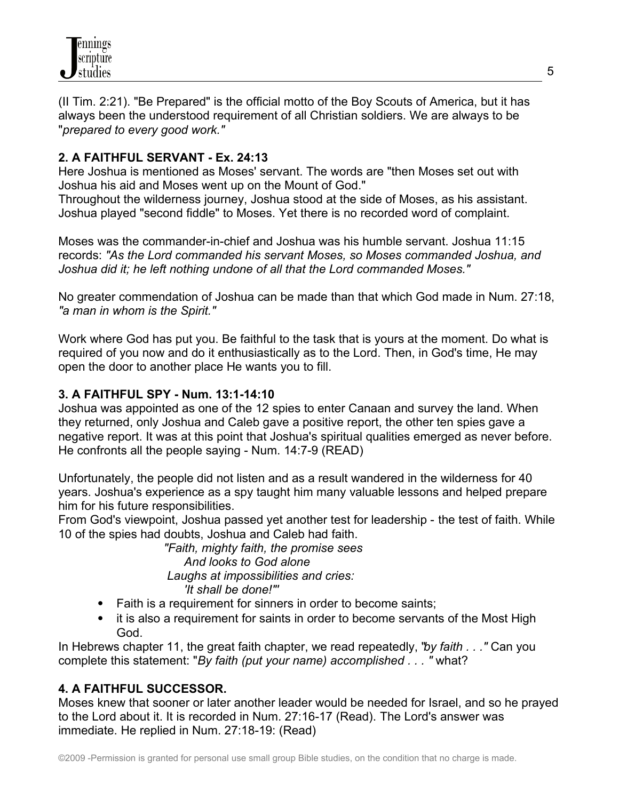(II Tim. 2:21). "Be Prepared" is the official motto of the Boy Scouts of America, but it has always been the understood requirement of all Christian soldiers. We are always to be "*prepared to every good work."*

#### **2. A FAITHFUL SERVANT - Ex. 24:13**

Here Joshua is mentioned as Moses' servant. The words are "then Moses set out with Joshua his aid and Moses went up on the Mount of God."

Throughout the wilderness journey, Joshua stood at the side of Moses, as his assistant. Joshua played "second fiddle" to Moses. Yet there is no recorded word of complaint.

Moses was the commander-in-chief and Joshua was his humble servant. Joshua 11:15 records: *"As the Lord commanded his servant Moses, so Moses commanded Joshua, and Joshua did it; he left nothing undone of all that the Lord commanded Moses."*

No greater commendation of Joshua can be made than that which God made in Num. 27:18, *"a man in whom is the Spirit."*

Work where God has put you. Be faithful to the task that is yours at the moment. Do what is required of you now and do it enthusiastically as to the Lord. Then, in God's time, He may open the door to another place He wants you to fill.

#### **3. A FAITHFUL SPY - Num. 13:1-14:10**

Joshua was appointed as one of the 12 spies to enter Canaan and survey the land. When they returned, only Joshua and Caleb gave a positive report, the other ten spies gave a negative report. It was at this point that Joshua's spiritual qualities emerged as never before. He confronts all the people saying - Num. 14:7-9 (READ)

Unfortunately, the people did not listen and as a result wandered in the wilderness for 40 years. Joshua's experience as a spy taught him many valuable lessons and helped prepare him for his future responsibilities.

From God's viewpoint, Joshua passed yet another test for leadership - the test of faith. While 10 of the spies had doubts, Joshua and Caleb had faith.

> *"Faith, mighty faith, the promise sees And looks to God alone Laughs at impossibilities and cries: 'It shall be done!"'*

- Faith is a requirement for sinners in order to become saints;
- it is also a requirement for saints in order to become servants of the Most High God.

In Hebrews chapter 11, the great faith chapter, we read repeatedly, "*by faith . . ."* Can you complete this statement: "*By faith (put your name) accomplished . . . "* what?

#### **4. A FAITHFUL SUCCESSOR.**

Moses knew that sooner or later another leader would be needed for Israel, and so he prayed to the Lord about it. It is recorded in Num. 27:16-17 (Read). The Lord's answer was immediate. He replied in Num. 27:18-19: (Read)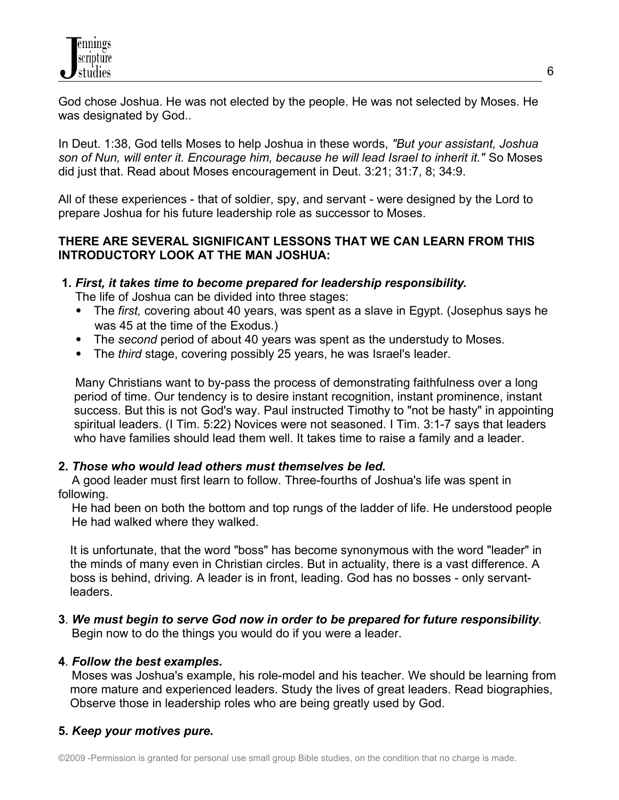God chose Joshua. He was not elected by the people. He was not selected by Moses. He was designated by God..

In Deut. 1:38, God tells Moses to help Joshua in these words, *"But your assistant, Joshua son of Nun, will enter it. Encourage him, because he will lead Israel to inherit it."* So Moses did just that. Read about Moses encouragement in Deut. 3:21; 31:7, 8; 34:9.

All of these experiences - that of soldier, spy, and servant - were designed by the Lord to prepare Joshua for his future leadership role as successor to Moses.

#### **THERE ARE SEVERAL SIGNIFICANT LESSONS THAT WE CAN LEARN FROM THIS INTRODUCTORY LOOK AT THE MAN JOSHUA:**

#### **1***. First, it takes time to become prepared for leadership responsibility***.**

The life of Joshua can be divided into three stages:

- The *first,* covering about 40 years, was spent as a slave in Egypt. (Josephus says he was 45 at the time of the Exodus.)
- The *second* period of about 40 years was spent as the understudy to Moses.
- The *third* stage, covering possibly 25 years, he was Israel's leader.

 Many Christians want to by-pass the process of demonstrating faithfulness over a long period of time. Our tendency is to desire instant recognition, instant prominence, instant success. But this is not God's way. Paul instructed Timothy to "not be hasty" in appointing spiritual leaders. (I Tim. 5:22) Novices were not seasoned. I Tim. 3:1-7 says that leaders who have families should lead them well. It takes time to raise a family and a leader.

#### **2.** *Those who would lead others must themselves be led.*

 A good leader must first learn to follow. Three-fourths of Joshua's life was spent in following.

 He had been on both the bottom and top rungs of the ladder of life. He understood people He had walked where they walked.

It is unfortunate, that the word "boss" has become synonymous with the word "leader" in the minds of many even in Christian circles. But in actuality, there is a vast difference. A boss is behind, driving. A leader is in front, leading. God has no bosses - only servantleaders.

**3**. *We must begin to serve God now in order to be prepared for future responsibility*. Begin now to do the things you would do if you were a leader.

#### **4**. *Follow the best examples***.**

 Moses was Joshua's example, his role-model and his teacher. We should be learning from more mature and experienced leaders. Study the lives of great leaders. Read biographies, Observe those in leadership roles who are being greatly used by God.

#### **5.** *Keep your motives pure.*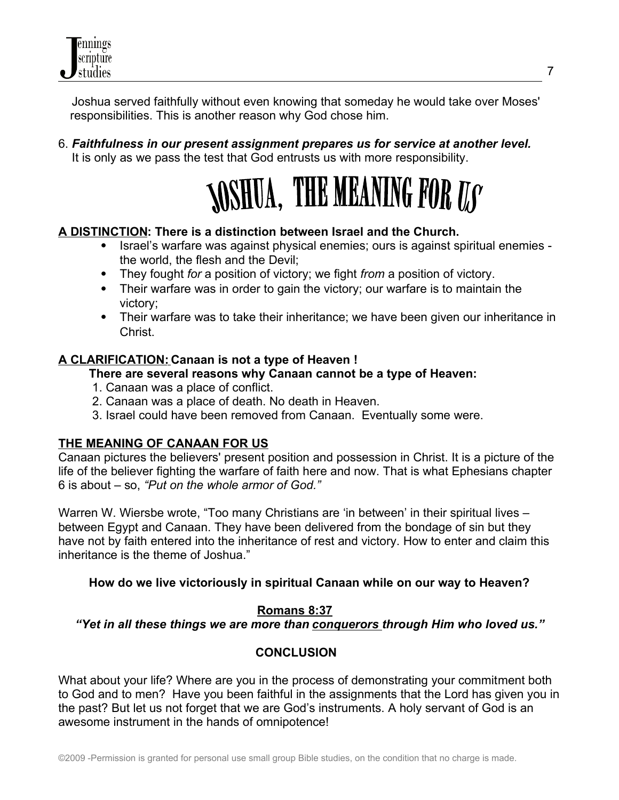Joshua served faithfully without even knowing that someday he would take over Moses' responsibilities. This is another reason why God chose him.

6. *Faithfulness in our present assignment prepares us for service at another level.* It is only as we pass the test that God entrusts us with more responsibility.



#### **A DISTINCTION: There is a distinction between Israel and the Church.**

- Israel's warfare was against physical enemies; ours is against spiritual enemies the world, the flesh and the Devil;
- They fought *for* a position of victory; we fight *from* a position of victory.
- Their warfare was in order to gain the victory; our warfare is to maintain the victory;
- Their warfare was to take their inheritance; we have been given our inheritance in Christ.

#### **A CLARIFICATION: Canaan is not a type of Heaven !**

#### **There are several reasons why Canaan cannot be a type of Heaven:**

- 1. Canaan was a place of conflict.
- 2. Canaan was a place of death. No death in Heaven.
- 3. Israel could have been removed from Canaan. Eventually some were.

#### **THE MEANING OF CANAAN FOR US**

Canaan pictures the believers' present position and possession in Christ. It is a picture of the life of the believer fighting the warfare of faith here and now. That is what Ephesians chapter 6 is about – so, *"Put on the whole armor of God."*

Warren W. Wiersbe wrote, "Too many Christians are 'in between' in their spiritual lives – between Egypt and Canaan. They have been delivered from the bondage of sin but they have not by faith entered into the inheritance of rest and victory. How to enter and claim this inheritance is the theme of Joshua."

#### **How do we live victoriously in spiritual Canaan while on our way to Heaven?**

#### **Romans 8:37**

*"Yet in all these things we are more than conquerors through Him who loved us."*

#### **CONCLUSION**

What about your life? Where are you in the process of demonstrating your commitment both to God and to men? Have you been faithful in the assignments that the Lord has given you in the past? But let us not forget that we are God's instruments. A holy servant of God is an awesome instrument in the hands of omnipotence!